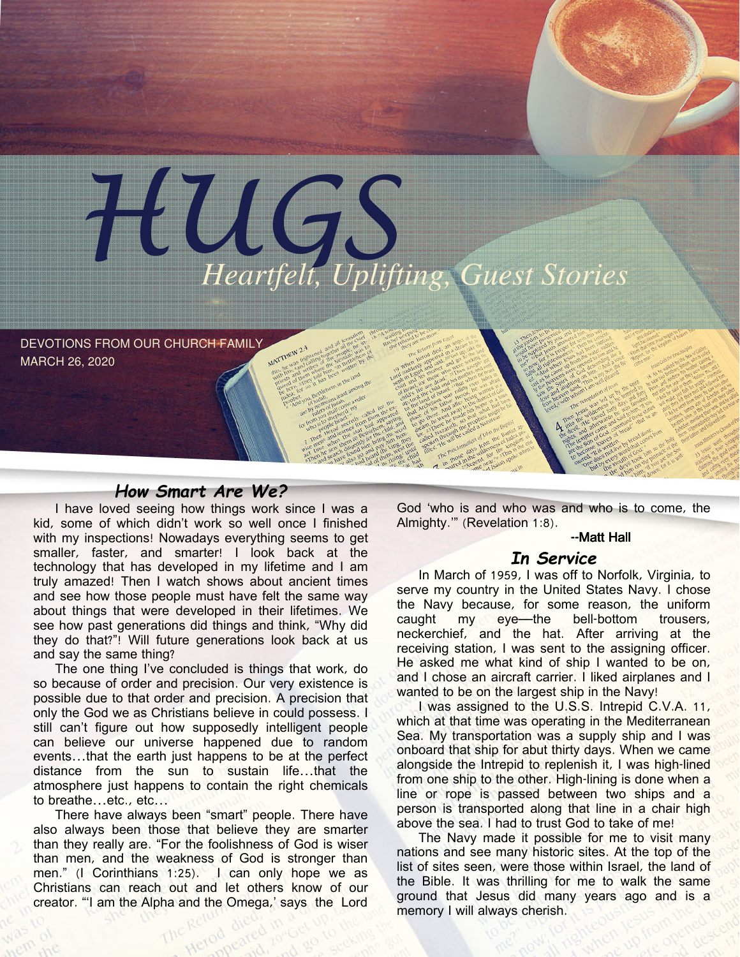

DEVOTIONS FROM OUR CHURCH FAMILY MARCH 26, 2020

## How Smart Are We?

I have loved seeing how things work since I was a kid, some of which didn't work so well once I finished with my inspections! Nowadays everything seems to get smaller, faster, and smarter! I look back at the technology that has developed in my lifetime and I am truly amazed! Then I watch shows about ancient times and see how those people must have felt the same way about things that were developed in their lifetimes. We see how past generations did things and think, "Why did they do that?"! Will future generations look back at us and say the same thing?

The one thing I've concluded is things that work, do so because of order and precision. Our very existence is possible due to that order and precision. A precision that only the God we as Christians believe in could possess. I still can't figure out how supposedly intelligent people can believe our universe happened due to random events…that the earth just happens to be at the perfect distance from the sun to sustain life…that the atmosphere just happens to contain the right chemicals to breathe…etc., etc…

There have always been "smart" people. There have also always been those that believe they are smarter than they really are. "For the foolishness of God is wiser than men, and the weakness of God is stronger than men." (I Corinthians 1:25). I can only hope we as Christians can reach out and let others know of our creator. "'I am the Alpha and the Omega,' says the Lord

God 'who is and who was and who is to come, the Almighty.'" (Revelation 1:8).

### --Matt Hall

### In Service

In March of 1959, I was off to Norfolk, Virginia, to serve my country in the United States Navy. I chose the Navy because, for some reason, the uniform caught my eye—the bell-bottom trousers, neckerchief, and the hat. After arriving at the receiving station, I was sent to the assigning officer. He asked me what kind of ship I wanted to be on, and I chose an aircraft carrier. I liked airplanes and I wanted to be on the largest ship in the Navy!

I was assigned to the U.S.S. Intrepid C.V.A. 11, which at that time was operating in the Mediterranean Sea. My transportation was a supply ship and I was onboard that ship for abut thirty days. When we came alongside the Intrepid to replenish it, I was high-lined from one ship to the other. High-lining is done when a line or rope is passed between two ships and a person is transported along that line in a chair high above the sea. I had to trust God to take of me!

The Navy made it possible for me to visit many nations and see many historic sites. At the top of the list of sites seen, were those within Israel, the land of the Bible. It was thrilling for me to walk the same ground that Jesus did many years ago and is a memory I will always cherish.